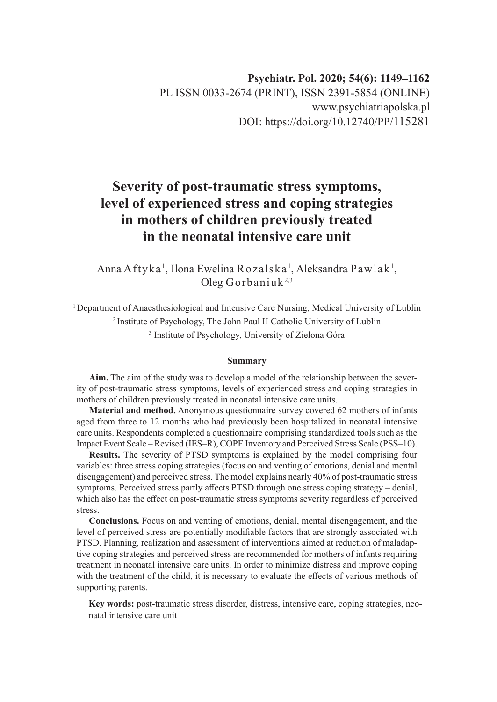# **Severity of post-traumatic stress symptoms, level of experienced stress and coping strategies in mothers of children previously treated in the neonatal intensive care unit**

Anna Aftyka<sup>1</sup>, Ilona Ewelina Rozalska<sup>1</sup>, Aleksandra Pawlak<sup>1</sup>, Oleg Gorbaniuk<sup>2,3</sup>

<sup>1</sup> Department of Anaesthesiological and Intensive Care Nursing, Medical University of Lublin 2 Institute of Psychology, The John Paul II Catholic University of Lublin 3 Institute of Psychology, University of Zielona Góra

#### **Summary**

**Aim.** The aim of the study was to develop a model of the relationship between the severity of post-traumatic stress symptoms, levels of experienced stress and coping strategies in mothers of children previously treated in neonatal intensive care units.

**Material and method.** Anonymous questionnaire survey covered 62 mothers of infants aged from three to 12 months who had previously been hospitalized in neonatal intensive care units. Respondents completed a questionnaire comprising standardized tools such as the Impact Event Scale – Revised (IES–R), COPE Inventory and Perceived Stress Scale (PSS–10).

**Results.** The severity of PTSD symptoms is explained by the model comprising four variables: three stress coping strategies (focus on and venting of emotions, denial and mental disengagement) and perceived stress. The model explains nearly 40% of post-traumatic stress symptoms. Perceived stress partly affects PTSD through one stress coping strategy – denial, which also has the effect on post-traumatic stress symptoms severity regardless of perceived stress.

**Conclusions.** Focus on and venting of emotions, denial, mental disengagement, and the level of perceived stress are potentially modifiable factors that are strongly associated with PTSD. Planning, realization and assessment of interventions aimed at reduction of maladaptive coping strategies and perceived stress are recommended for mothers of infants requiring treatment in neonatal intensive care units. In order to minimize distress and improve coping with the treatment of the child, it is necessary to evaluate the effects of various methods of supporting parents.

**Key words:** post-traumatic stress disorder, distress, intensive care, coping strategies, neonatal intensive care unit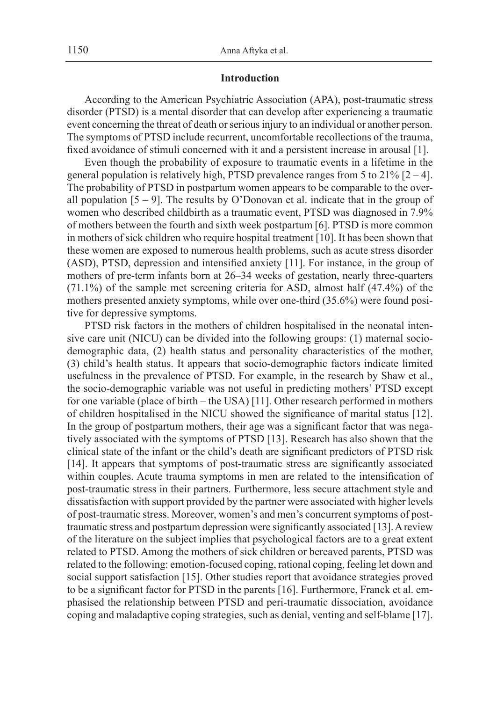# **Introduction**

According to the American Psychiatric Association (APA), post-traumatic stress disorder (PTSD) is a mental disorder that can develop after experiencing a traumatic event concerning the threat of death or serious injury to an individual or another person. The symptoms of PTSD include recurrent, uncomfortable recollections of the trauma, fixed avoidance of stimuli concerned with it and a persistent increase in arousal [1].

Even though the probability of exposure to traumatic events in a lifetime in the general population is relatively high, PTSD prevalence ranges from 5 to  $21\%$  [2 – 4]. The probability of PTSD in postpartum women appears to be comparable to the overall population  $[5 - 9]$ . The results by O'Donovan et al. indicate that in the group of women who described childbirth as a traumatic event, PTSD was diagnosed in 7.9% of mothers between the fourth and sixth week postpartum [6]. PTSD is more common in mothers of sick children who require hospital treatment [10]. It has been shown that these women are exposed to numerous health problems, such as acute stress disorder (ASD), PTSD, depression and intensified anxiety [11]. For instance, in the group of mothers of pre-term infants born at 26–34 weeks of gestation, nearly three-quarters (71.1%) of the sample met screening criteria for ASD, almost half (47.4%) of the mothers presented anxiety symptoms, while over one-third (35.6%) were found positive for depressive symptoms.

PTSD risk factors in the mothers of children hospitalised in the neonatal intensive care unit (NICU) can be divided into the following groups: (1) maternal sociodemographic data, (2) health status and personality characteristics of the mother, (3) child's health status. It appears that socio-demographic factors indicate limited usefulness in the prevalence of PTSD. For example, in the research by Shaw et al., the socio-demographic variable was not useful in predicting mothers' PTSD except for one variable (place of birth – the USA) [11]. Other research performed in mothers of children hospitalised in the NICU showed the significance of marital status [12]. In the group of postpartum mothers, their age was a significant factor that was negatively associated with the symptoms of PTSD [13]. Research has also shown that the clinical state of the infant or the child's death are significant predictors of PTSD risk [14]. It appears that symptoms of post-traumatic stress are significantly associated within couples. Acute trauma symptoms in men are related to the intensification of post-traumatic stress in their partners. Furthermore, less secure attachment style and dissatisfaction with support provided by the partner were associated with higher levels of post-traumatic stress. Moreover, women's and men's concurrent symptoms of posttraumatic stress and postpartum depression were significantly associated [13]. A review of the literature on the subject implies that psychological factors are to a great extent related to PTSD. Among the mothers of sick children or bereaved parents, PTSD was related to the following: emotion-focused coping, rational coping, feeling let down and social support satisfaction [15]. Other studies report that avoidance strategies proved to be a significant factor for PTSD in the parents [16]. Furthermore, Franck et al. emphasised the relationship between PTSD and peri-traumatic dissociation, avoidance coping and maladaptive coping strategies, such as denial, venting and self-blame [17].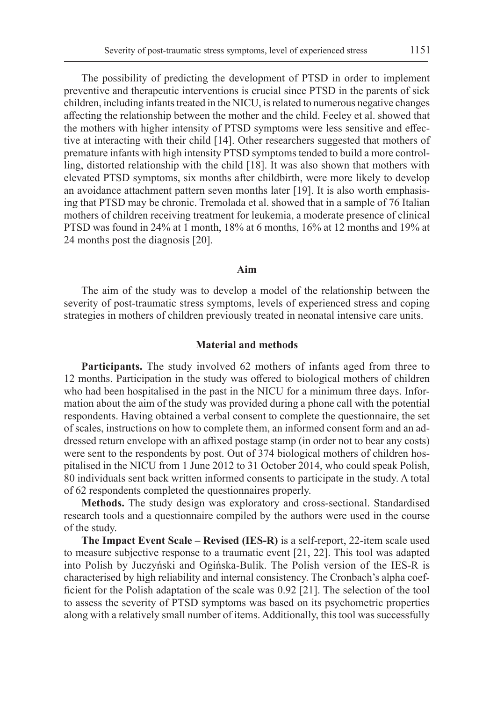The possibility of predicting the development of PTSD in order to implement preventive and therapeutic interventions is crucial since PTSD in the parents of sick children, including infants treated in the NICU, is related to numerous negative changes affecting the relationship between the mother and the child. Feeley et al. showed that the mothers with higher intensity of PTSD symptoms were less sensitive and effective at interacting with their child [14]. Other researchers suggested that mothers of premature infants with high intensity PTSD symptoms tended to build a more controlling, distorted relationship with the child [18]. It was also shown that mothers with elevated PTSD symptoms, six months after childbirth, were more likely to develop an avoidance attachment pattern seven months later [19]. It is also worth emphasising that PTSD may be chronic. Tremolada et al. showed that in a sample of 76 Italian mothers of children receiving treatment for leukemia, a moderate presence of clinical PTSD was found in 24% at 1 month, 18% at 6 months, 16% at 12 months and 19% at 24 months post the diagnosis [20].

# **Aim**

The aim of the study was to develop a model of the relationship between the severity of post-traumatic stress symptoms, levels of experienced stress and coping strategies in mothers of children previously treated in neonatal intensive care units.

#### **Material and methods**

**Participants.** The study involved 62 mothers of infants aged from three to 12 months. Participation in the study was offered to biological mothers of children who had been hospitalised in the past in the NICU for a minimum three days. Information about the aim of the study was provided during a phone call with the potential respondents. Having obtained a verbal consent to complete the questionnaire, the set of scales, instructions on how to complete them, an informed consent form and an addressed return envelope with an affixed postage stamp (in order not to bear any costs) were sent to the respondents by post. Out of 374 biological mothers of children hospitalised in the NICU from 1 June 2012 to 31 October 2014, who could speak Polish, 80 individuals sent back written informed consents to participate in the study. A total of 62 respondents completed the questionnaires properly.

**Methods.** The study design was exploratory and cross-sectional. Standardised research tools and a questionnaire compiled by the authors were used in the course of the study.

**The Impact Event Scale – Revised (IES-R)** is a self-report, 22-item scale used to measure subjective response to a traumatic event [21, 22]. This tool was adapted into Polish by Juczyński and Ogińska-Bulik. The Polish version of the IES-R is characterised by high reliability and internal consistency. The Cronbach's alpha coefficient for the Polish adaptation of the scale was 0.92 [21]. The selection of the tool to assess the severity of PTSD symptoms was based on its psychometric properties along with a relatively small number of items. Additionally, this tool was successfully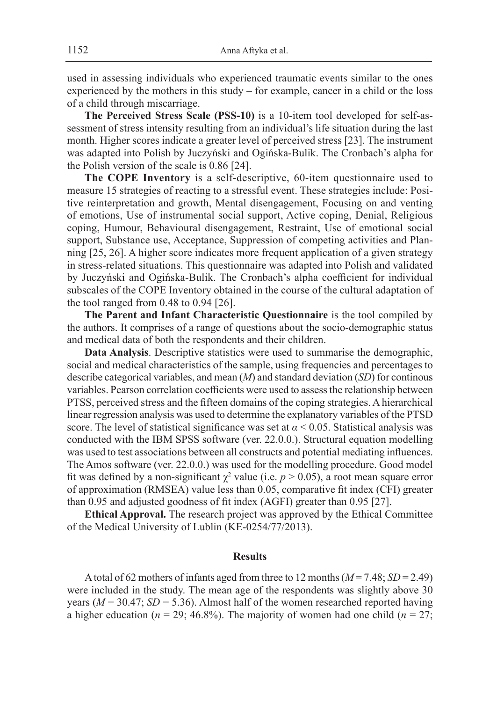used in assessing individuals who experienced traumatic events similar to the ones experienced by the mothers in this study – for example, cancer in a child or the loss of a child through miscarriage.

**The Perceived Stress Scale (PSS-10)** is a 10-item tool developed for self-assessment of stress intensity resulting from an individual's life situation during the last month. Higher scores indicate a greater level of perceived stress [23]. The instrument was adapted into Polish by Juczyński and Ogińska-Bulik. The Cronbach's alpha for the Polish version of the scale is 0.86 [24].

**The COPE Inventory** is a self-descriptive, 60-item questionnaire used to measure 15 strategies of reacting to a stressful event. These strategies include: Positive reinterpretation and growth, Mental disengagement, Focusing on and venting of emotions, Use of instrumental social support, Active coping, Denial, Religious coping, Humour, Behavioural disengagement, Restraint, Use of emotional social support, Substance use, Acceptance, Suppression of competing activities and Planning [25, 26]. A higher score indicates more frequent application of a given strategy in stress-related situations. This questionnaire was adapted into Polish and validated by Juczyński and Ogińska-Bulik. The Cronbach's alpha coefficient for individual subscales of the COPE Inventory obtained in the course of the cultural adaptation of the tool ranged from 0.48 to 0.94 [26].

**The Parent and Infant Characteristic Questionnaire** is the tool compiled by the authors. It comprises of a range of questions about the socio-demographic status and medical data of both the respondents and their children.

**Data Analysis**. Descriptive statistics were used to summarise the demographic, social and medical characteristics of the sample, using frequencies and percentages to describe categorical variables, and mean (*M*) and standard deviation (*SD*) for continous variables. Pearson correlation coefficients were used to assess the relationship between PTSS, perceived stress and the fifteen domains of the coping strategies. A hierarchical linear regression analysis was used to determine the explanatory variables of the PTSD score. The level of statistical significance was set at  $\alpha$  < 0.05. Statistical analysis was conducted with the IBM SPSS software (ver. 22.0.0.). Structural equation modelling was used to test associations between all constructs and potential mediating influences. The Amos software (ver. 22.0.0.) was used for the modelling procedure. Good model fit was defined by a non-significant  $\chi^2$  value (i.e.  $p > 0.05$ ), a root mean square error of approximation (RMSEA) value less than 0.05, comparative fit index (CFI) greater than 0.95 and adjusted goodness of fit index (AGFI) greater than 0.95 [27].

**Ethical Approval.** The research project was approved by the Ethical Committee of the Medical University of Lublin (KE-0254/77/2013).

# **Results**

A total of 62 mothers of infants aged from three to 12 months  $(M=7.48; SD=2.49)$ were included in the study. The mean age of the respondents was slightly above 30 years ( $M = 30.47$ ;  $SD = 5.36$ ). Almost half of the women researched reported having a higher education ( $n = 29$ ; 46.8%). The majority of women had one child ( $n = 27$ ;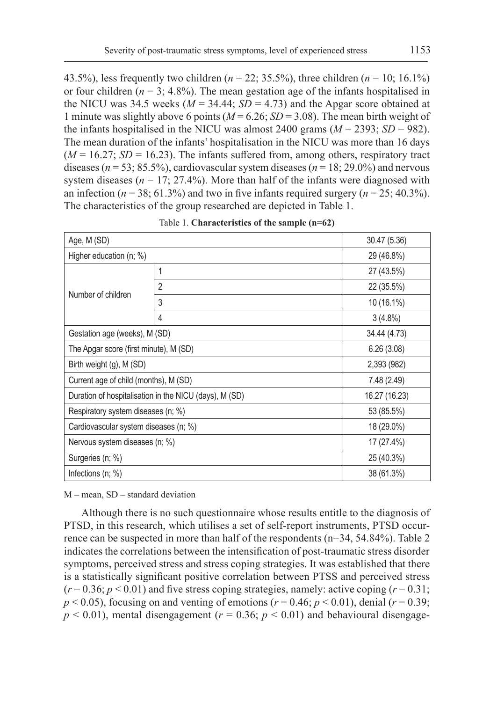43.5%), less frequently two children (*n* = 22; 35.5%), three children (*n* = 10; 16.1%) or four children  $(n = 3; 4.8\%)$ . The mean gestation age of the infants hospitalised in the NICU was 34.5 weeks ( $M = 34.44$ ;  $SD = 4.73$ ) and the Apgar score obtained at 1 minute was slightly above 6 points  $(M = 6.26; SD = 3.08)$ . The mean birth weight of the infants hospitalised in the NICU was almost 2400 grams  $(M = 2393; SD = 982)$ . The mean duration of the infants' hospitalisation in the NICU was more than 16 days  $(M = 16.27; SD = 16.23)$ . The infants suffered from, among others, respiratory tract diseases ( $n = 53$ ; 85.5%), cardiovascular system diseases ( $n = 18$ ; 29.0%) and nervous system diseases ( $n = 17$ ; 27.4%). More than half of the infants were diagnosed with an infection ( $n = 38$ ; 61.3%) and two in five infants required surgery ( $n = 25$ ; 40.3%). The characteristics of the group researched are depicted in Table 1.

| Age, M (SD)                            | 30.47 (5.36)                                           |               |
|----------------------------------------|--------------------------------------------------------|---------------|
| Higher education (n; %)                |                                                        | 29 (46.8%)    |
|                                        | 1                                                      | 27 (43.5%)    |
| Number of children                     | $\overline{2}$                                         | 22 (35.5%)    |
|                                        | 3                                                      | 10 (16.1%)    |
|                                        | 4                                                      | $3(4.8\%)$    |
| Gestation age (weeks), M (SD)          |                                                        | 34.44 (4.73)  |
| The Apgar score (first minute), M (SD) |                                                        | 6.26(3.08)    |
| Birth weight (g), M (SD)               |                                                        | 2,393 (982)   |
| Current age of child (months), M (SD)  |                                                        | 7.48 (2.49)   |
|                                        | Duration of hospitalisation in the NICU (days), M (SD) | 16.27 (16.23) |
| Respiratory system diseases (n; %)     |                                                        | 53 (85.5%)    |
| Cardiovascular system diseases (n; %)  |                                                        | 18 (29.0%)    |
| Nervous system diseases (n; %)         |                                                        | 17 (27.4%)    |
| Surgeries (n; %)                       |                                                        | 25 (40.3%)    |
| Infections $(n; \%)$                   |                                                        | 38 (61.3%)    |

Table 1. **Characteristics of the sample (n=62)**

M – mean, SD – standard deviation

Although there is no such questionnaire whose results entitle to the diagnosis of PTSD, in this research, which utilises a set of self-report instruments, PTSD occurrence can be suspected in more than half of the respondents (n=34, 54.84%). Table 2 indicates the correlations between the intensification of post-traumatic stress disorder symptoms, perceived stress and stress coping strategies. It was established that there is a statistically significant positive correlation between PTSS and perceived stress  $(r=0.36; p<0.01)$  and five stress coping strategies, namely: active coping  $(r=0.31;$  $p < 0.05$ ), focusing on and venting of emotions ( $r = 0.46$ ;  $p < 0.01$ ), denial ( $r = 0.39$ ;  $p < 0.01$ ), mental disengagement ( $r = 0.36$ ;  $p < 0.01$ ) and behavioural disengage-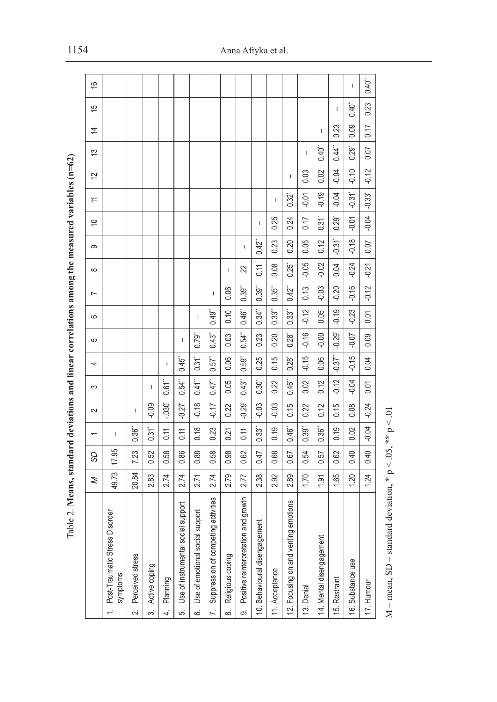| į<br>l                                                                                                                                                                                                                         |
|--------------------------------------------------------------------------------------------------------------------------------------------------------------------------------------------------------------------------------|
|                                                                                                                                                                                                                                |
|                                                                                                                                                                                                                                |
|                                                                                                                                                                                                                                |
|                                                                                                                                                                                                                                |
|                                                                                                                                                                                                                                |
| <b>CHANGER COMMENT</b>                                                                                                                                                                                                         |
|                                                                                                                                                                                                                                |
|                                                                                                                                                                                                                                |
|                                                                                                                                                                                                                                |
| <b>ACCEPT OF</b>                                                                                                                                                                                                               |
|                                                                                                                                                                                                                                |
| D                                                                                                                                                                                                                              |
|                                                                                                                                                                                                                                |
| 14 月月1日 1月1日 1月1日                                                                                                                                                                                                              |
|                                                                                                                                                                                                                                |
|                                                                                                                                                                                                                                |
| .<br>C                                                                                                                                                                                                                         |
|                                                                                                                                                                                                                                |
| くさき くう きくく                                                                                                                                                                                                                     |
|                                                                                                                                                                                                                                |
| i                                                                                                                                                                                                                              |
|                                                                                                                                                                                                                                |
| į                                                                                                                                                                                                                              |
|                                                                                                                                                                                                                                |
|                                                                                                                                                                                                                                |
| in the company of the company of the company of the company of the company of the company of the company of the company of the company of the company of the company of the company of the company of the company of the compa |
|                                                                                                                                                                                                                                |
|                                                                                                                                                                                                                                |
|                                                                                                                                                                                                                                |
|                                                                                                                                                                                                                                |
| ز<br>آ                                                                                                                                                                                                                         |
|                                                                                                                                                                                                                                |
|                                                                                                                                                                                                                                |
| $\frac{1}{2}$                                                                                                                                                                                                                  |
| j<br>ł                                                                                                                                                                                                                         |
| ĭ<br>j                                                                                                                                                                                                                         |
| í                                                                                                                                                                                                                              |

|                | able 2. Means, standard deviations and linear correlations among the measured variables ( $n=62$ ) |                     |       |                          |                      |                      |                                   |         |                      |                      |                |                      |                     |                          |         |                     |      |                                       |               |
|----------------|----------------------------------------------------------------------------------------------------|---------------------|-------|--------------------------|----------------------|----------------------|-----------------------------------|---------|----------------------|----------------------|----------------|----------------------|---------------------|--------------------------|---------|---------------------|------|---------------------------------------|---------------|
|                |                                                                                                    | Z                   | 9S    | $\overline{\phantom{0}}$ | $\sim$               | S                    | 4                                 | 5       | $\circ$              | $\overline{ }$       | $\infty$       | ၜ                    | ₽                   | $\rightleftarrows$       | 12      | 13                  | 4    | 15                                    | $\frac{6}{5}$ |
|                | Disorder<br>1. Post-Traumatic Stress<br>symptoms                                                   | 49.73               | 17.95 | $\mathsf{I}$             |                      |                      |                                   |         |                      |                      |                |                      |                     |                          |         |                     |      |                                       |               |
| $\sim$         | Perceived stress                                                                                   | 20.84               | 7.23  | 0.36                     | т                    |                      |                                   |         |                      |                      |                |                      |                     |                          |         |                     |      |                                       |               |
| …<br>က         | Active coping                                                                                      | æ.<br>Ń۰            | 0.52  | $0.31$ <sup>*</sup>      | $-0.09$              | T.                   |                                   |         |                      |                      |                |                      |                     |                          |         |                     |      |                                       |               |
| 4.             | Planning                                                                                           | 2.74                | 0.58  | 0.11                     | $-0.30$              | $0.61$ "             | $\mathbf{I}$                      |         |                      |                      |                |                      |                     |                          |         |                     |      |                                       |               |
| .<br>ລ         | ial support<br>Use of instrumental sor                                                             | 2.74                | 0.86  | 0.11                     | $-0.27$              | 0.54"                | $0.45$ <sup>"</sup>               | I       |                      |                      |                |                      |                     |                          |         |                     |      |                                       |               |
| .<br>ف         | support<br>Use of emotional social                                                                 | 2.71                | 0.88  | 0.18                     | $-0.18$              | $0.41$ <sup>"</sup>  | $0.31$ <sup>*</sup>               | 0.79"   | $\sf I$              |                      |                |                      |                     |                          |         |                     |      |                                       |               |
| $\overline{r}$ | ing activities<br>Suppression of competi                                                           | 2.74                | 0.58  | 0.23                     | $-0.17$              | $0.47$ <sup>**</sup> | $0.57$ <sup>"</sup>               | 0.43"   | 0.49"                | T                    |                |                      |                     |                          |         |                     |      |                                       |               |
| ထံ             | Religious coping                                                                                   | 2.79                | 0.98  | 0.21                     | 0.22                 | 0.05                 | 0.06                              | 0.03    | 0.10                 | 0.06                 | J.             |                      |                     |                          |         |                     |      |                                       |               |
| တ              | and growth<br>Positive reinterpretation                                                            | 2.77                | 0.62  | 0.11                     | $-0.29$ <sup>*</sup> | 0.43"                | 0.59"                             | 0.54"   | $0.46$ <sup>**</sup> | $0.39^{44}$          | 22             | I                    |                     |                          |         |                     |      |                                       |               |
|                | ment<br>10. Behavioural disengage                                                                  | 2.38                | 0.47  | 0.33"                    | $-0.03$              | $0.30^\circ$         | 0.25                              | 0.23    | $0.34$ <sup>**</sup> | $0.39$ <sup>**</sup> | 0.11           | 0.42                 | I                   |                          |         |                     |      |                                       |               |
|                | 11. Acceptance                                                                                     | $\mathcal{S}$<br>Ń۰ | 0.68  | 0.19                     | $-0.03$              | 0.22                 | 0.15                              | 0.20    | 0.33"                | $0.35$ <sup>**</sup> | 0.08           | 0.23                 | 0.25                | $\overline{\phantom{a}}$ |         |                     |      |                                       |               |
|                | 12. Focusing on and venting emotions                                                               | 2.89                | 0.67  | 0.46                     | 0.15                 | 0.46                 | $0.28^*$                          | 0.28    | 0.33"                | $0.42$ <sup>**</sup> | $0.25^{\circ}$ | 0.20                 | 0.24                | $0.32^{\circ}$           | T       |                     |      |                                       |               |
|                | 13. Denial                                                                                         | 1.70                | 0.54  | 0.39"                    | 0.22                 | 0.02                 | $-0.15$                           | $-0.16$ | $-0.12$              | 0.13                 | $-0.05$        | 0.05                 | 0.17                | $-0.01$                  | 0.03    | $\mathbf{I}$        |      |                                       |               |
|                | 14. Mental disengagement                                                                           | 1.91                | 0.57  | $0.36$ <sup>**</sup>     | 0.12                 | 0.12                 | 0.06                              | $-0.00$ | 0.05                 | $-0.03$              | $-0.02$        | 0.12                 | $0.31$ <sup>*</sup> | $-0.19$                  | 0.02    | 0.40"               | T    |                                       |               |
|                | 15. Restraint                                                                                      | 1.65                | 0.62  | 0.19                     | 0.15                 | $-0.12$              | $-0.37$ <sup><math>-</math></sup> | $-0.29$ | $-0.19$              | $-0.20$              | 0.04           | $-0.31$ <sup>*</sup> | $0.29$ <sup>*</sup> | $-0.04$                  | $-0.04$ | $0.44$ <sup>"</sup> | 0.23 | $\begin{array}{c} \hline \end{array}$ |               |
|                | 16. Substance use                                                                                  | 1.20                | 0.40  | 0.02                     | 0.08                 | $-0.04$              | $-0.15$                           | $-0.07$ | $-0.23$              | $-0.16$              | $-0.24$        | $-0.18$              | $-0.01$             | $-0.31$ <sup>*</sup>     | $-0.10$ | 0.29                | 0.09 | $0.40$ <sup>"</sup>                   | $\mathbf{I}$  |
|                | 17. Humour                                                                                         | 1.24                | 0.40  | $-0.04$                  | $-0.24$              | 0.01                 | 0.04                              | 0.09    | 0.01                 | $-0.12$              | $-0.21$        | 0.07                 | $-0.04$             | $-0.33$ <sup>*</sup>     | $-0.12$ | 0.07                | 0.17 | 0.23                                  | 0.40"         |
|                |                                                                                                    |                     |       |                          |                      |                      |                                   |         |                      |                      |                |                      |                     |                          |         |                     |      |                                       |               |

M – mean, SD – standard deviation, \*  $p < .05$ , \*\*  $p < .01$  $M$  – mean, SD – standard deviation, \*  $p < .05$ , \*\*  $p < .01$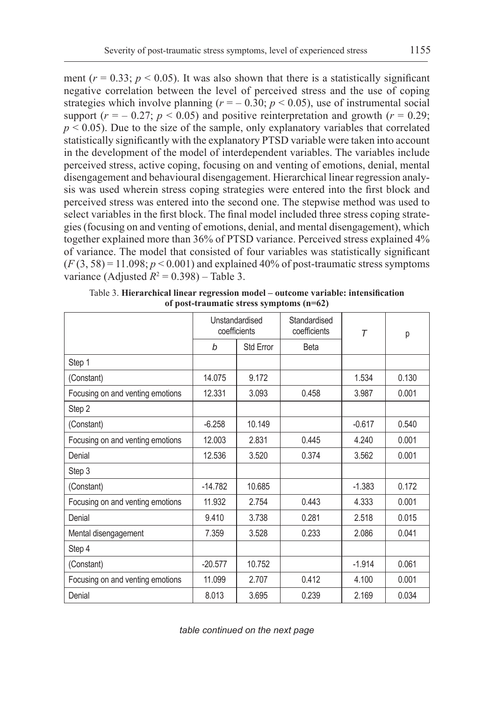ment  $(r = 0.33; p < 0.05)$ . It was also shown that there is a statistically significant negative correlation between the level of perceived stress and the use of coping strategies which involve planning  $(r = -0.30; p < 0.05)$ , use of instrumental social support  $(r = -0.27; p < 0.05)$  and positive reinterpretation and growth  $(r = 0.29;$  $p \leq 0.05$ ). Due to the size of the sample, only explanatory variables that correlated statistically significantly with the explanatory PTSD variable were taken into account in the development of the model of interdependent variables. The variables include perceived stress, active coping, focusing on and venting of emotions, denial, mental disengagement and behavioural disengagement. Hierarchical linear regression analysis was used wherein stress coping strategies were entered into the first block and perceived stress was entered into the second one. The stepwise method was used to select variables in the first block. The final model included three stress coping strategies (focusing on and venting of emotions, denial, and mental disengagement), which together explained more than 36% of PTSD variance. Perceived stress explained 4% of variance. The model that consisted of four variables was statistically significant  $(F(3, 58) = 11.098; p < 0.001)$  and explained 40% of post-traumatic stress symptoms variance (Adjusted  $R^2 = 0.398$ ) – Table 3.

|                                  | Unstandardised<br>coefficients |           | Standardised<br>coefficients | $\tau$   | р     |
|----------------------------------|--------------------------------|-----------|------------------------------|----------|-------|
|                                  | b                              | Std Error | <b>Beta</b>                  |          |       |
| Step 1                           |                                |           |                              |          |       |
| (Constant)                       | 14.075                         | 9.172     |                              | 1.534    | 0.130 |
| Focusing on and venting emotions | 12.331                         | 3.093     | 0.458                        | 3.987    | 0.001 |
| Step 2                           |                                |           |                              |          |       |
| (Constant)                       | $-6.258$                       | 10.149    |                              | $-0.617$ | 0.540 |
| Focusing on and venting emotions | 12.003                         | 2.831     | 0.445                        | 4.240    | 0.001 |
| Denial                           | 12.536                         | 3.520     | 0.374                        | 3.562    | 0.001 |
| Step 3                           |                                |           |                              |          |       |
| (Constant)                       | $-14.782$                      | 10.685    |                              | $-1.383$ | 0.172 |
| Focusing on and venting emotions | 11.932                         | 2.754     | 0.443                        | 4.333    | 0.001 |
| Denial                           | 9.410                          | 3.738     | 0.281                        | 2.518    | 0.015 |
| Mental disengagement             | 7.359                          | 3.528     | 0.233                        | 2.086    | 0.041 |
| Step 4                           |                                |           |                              |          |       |
| (Constant)                       | $-20.577$                      | 10.752    |                              | $-1.914$ | 0.061 |
| Focusing on and venting emotions | 11.099                         | 2.707     | 0.412                        | 4.100    | 0.001 |
| Denial                           | 8.013                          | 3.695     | 0.239                        | 2.169    | 0.034 |

Table 3. **Hierarchical linear regression model – outcome variable: intensification of post-traumatic stress symptoms (n=62)**

*table continued on the next page*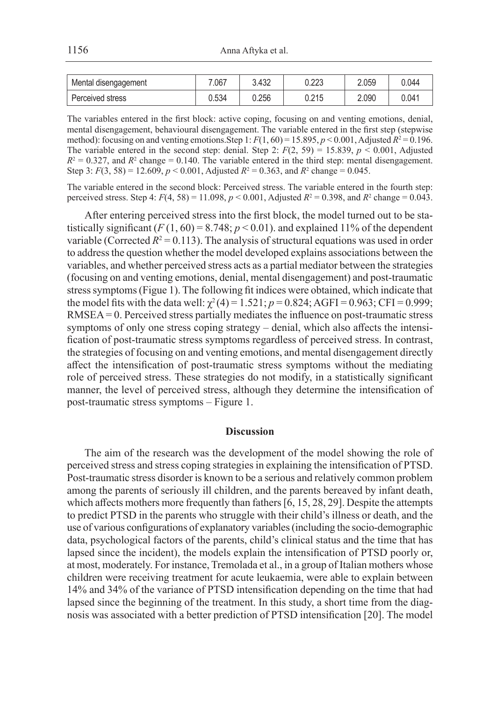| Mental disengagement | .067  | 3.432 | 0.223 | 2.059 | 0.044 |
|----------------------|-------|-------|-------|-------|-------|
| Perceived stress     | J.534 | 0.256 | 0.215 | 2.090 | 0.041 |

The variables entered in the first block: active coping, focusing on and venting emotions, denial, mental disengagement, behavioural disengagement. The variable entered in the first step (stepwise method): focusing on and venting emotions. Step 1:  $F(1, 60) = 15.895$ ,  $p < 0.001$ , Adjusted  $R^2 = 0.196$ . The variable entered in the second step: denial. Step 2:  $F(2, 59) = 15.839$ ,  $p < 0.001$ , Adjusted  $R^2 = 0.327$ , and  $R^2$  change = 0.140. The variable entered in the third step: mental disengagement. Step 3:  $F(3, 58) = 12.609$ ,  $p < 0.001$ , Adjusted  $R^2 = 0.363$ , and  $R^2$  change = 0.045.

The variable entered in the second block: Perceived stress. The variable entered in the fourth step: perceived stress. Step 4:  $F(4, 58) = 11.098$ ,  $p < 0.001$ , Adjusted  $R^2 = 0.398$ , and  $R^2$  change = 0.043.

After entering perceived stress into the first block, the model turned out to be statistically significant  $(F(1, 60) = 8.748; p < 0.01)$ . and explained 11% of the dependent variable (Corrected  $R^2 = 0.113$ ). The analysis of structural equations was used in order to address the question whether the model developed explains associations between the variables, and whether perceived stress acts as a partial mediator between the strategies (focusing on and venting emotions, denial, mental disengagement) and post-traumatic stress symptoms (Figue 1). The following fit indices were obtained, which indicate that the model fits with the data well:  $\chi^2(4) = 1.521$ ;  $p = 0.824$ ; AGFI = 0.963; CFI = 0.999; RMSEA= 0. Perceived stress partially mediates the influence on post-traumatic stress symptoms of only one stress coping strategy – denial, which also affects the intensification of post-traumatic stress symptoms regardless of perceived stress. In contrast, the strategies of focusing on and venting emotions, and mental disengagement directly affect the intensification of post-traumatic stress symptoms without the mediating role of perceived stress. These strategies do not modify, in a statistically significant manner, the level of perceived stress, although they determine the intensification of post-traumatic stress symptoms – Figure 1.

#### **Discussion**

The aim of the research was the development of the model showing the role of perceived stress and stress coping strategies in explaining the intensification of PTSD. Post-traumatic stress disorder is known to be a serious and relatively common problem among the parents of seriously ill children, and the parents bereaved by infant death, which affects mothers more frequently than fathers [6, 15, 28, 29]. Despite the attempts to predict PTSD in the parents who struggle with their child's illness or death, and the use of various configurations of explanatory variables (including the socio-demographic data, psychological factors of the parents, child's clinical status and the time that has lapsed since the incident), the models explain the intensification of PTSD poorly or, at most, moderately. For instance, Tremolada et al., in a group of Italian mothers whose children were receiving treatment for acute leukaemia, were able to explain between 14% and 34% of the variance of PTSD intensification depending on the time that had lapsed since the beginning of the treatment. In this study, a short time from the diagnosis was associated with a better prediction of PTSD intensification [20]. The model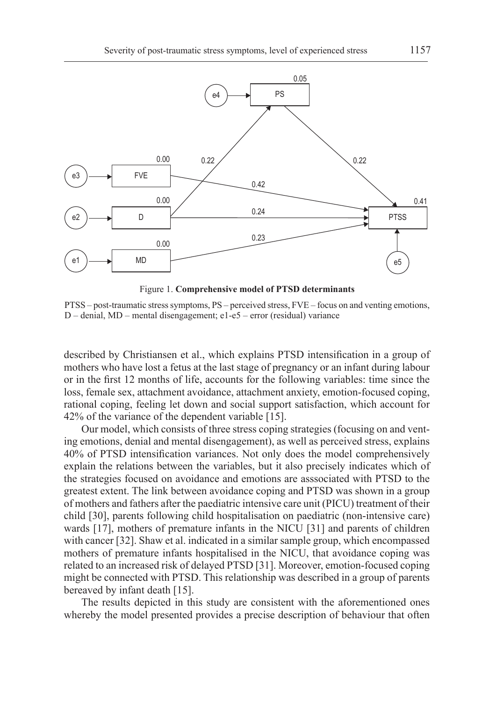

Figure 1. **Comprehensive model of PTSD determinants**

PTSS – post-traumatic stress symptoms, PS – perceived stress, FVE – focus on and venting emotions, D – denial, MD – mental disengagement; e1-e5 – error (residual) variance

described by Christiansen et al., which explains PTSD intensification in a group of mothers who have lost a fetus at the last stage of pregnancy or an infant during labour or in the first 12 months of life, accounts for the following variables: time since the loss, female sex, attachment avoidance, attachment anxiety, emotion-focused coping, rational coping, feeling let down and social support satisfaction, which account for 42% of the variance of the dependent variable [15].

Our model, which consists of three stress coping strategies (focusing on and venting emotions, denial and mental disengagement), as well as perceived stress, explains 40% of PTSD intensification variances. Not only does the model comprehensively explain the relations between the variables, but it also precisely indicates which of the strategies focused on avoidance and emotions are asssociated with PTSD to the greatest extent. The link between avoidance coping and PTSD was shown in a group of mothers and fathers after the paediatric intensive care unit (PICU) treatment of their child [30], parents following child hospitalisation on paediatric (non-intensive care) wards [17], mothers of premature infants in the NICU [31] and parents of children with cancer [32]. Shaw et al. indicated in a similar sample group, which encompassed mothers of premature infants hospitalised in the NICU, that avoidance coping was related to an increased risk of delayed PTSD [31]. Moreover, emotion-focused coping might be connected with PTSD. This relationship was described in a group of parents bereaved by infant death [15].

The results depicted in this study are consistent with the aforementioned ones whereby the model presented provides a precise description of behaviour that often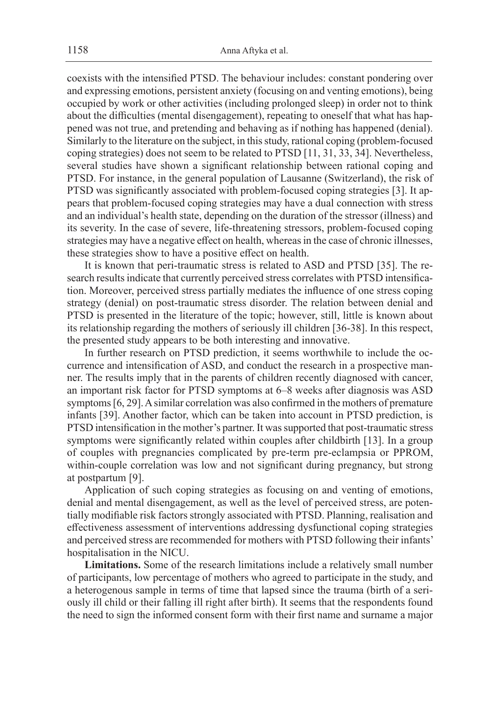coexists with the intensified PTSD. The behaviour includes: constant pondering over and expressing emotions, persistent anxiety (focusing on and venting emotions), being occupied by work or other activities (including prolonged sleep) in order not to think about the difficulties (mental disengagement), repeating to oneself that what has happened was not true, and pretending and behaving as if nothing has happened (denial). Similarly to the literature on the subject, in this study, rational coping (problem-focused coping strategies) does not seem to be related to PTSD [11, 31, 33, 34]. Nevertheless, several studies have shown a significant relationship between rational coping and PTSD. For instance, in the general population of Lausanne (Switzerland), the risk of PTSD was significantly associated with problem-focused coping strategies [3]. It appears that problem-focused coping strategies may have a dual connection with stress and an individual's health state, depending on the duration of the stressor (illness) and its severity. In the case of severe, life-threatening stressors, problem-focused coping strategies may have a negative effect on health, whereas in the case of chronic illnesses, these strategies show to have a positive effect on health.

It is known that peri-traumatic stress is related to ASD and PTSD [35]. The research results indicate that currently perceived stress correlates with PTSD intensification. Moreover, perceived stress partially mediates the influence of one stress coping strategy (denial) on post-traumatic stress disorder. The relation between denial and PTSD is presented in the literature of the topic; however, still, little is known about its relationship regarding the mothers of seriously ill children [36-38]. In this respect, the presented study appears to be both interesting and innovative.

In further research on PTSD prediction, it seems worthwhile to include the occurrence and intensification of ASD, and conduct the research in a prospective manner. The results imply that in the parents of children recently diagnosed with cancer, an important risk factor for PTSD symptoms at 6–8 weeks after diagnosis was ASD symptoms [6, 29]. A similar correlation was also confirmed in the mothers of premature infants [39]. Another factor, which can be taken into account in PTSD prediction, is PTSD intensification in the mother's partner. It was supported that post-traumatic stress symptoms were significantly related within couples after childbirth [13]. In a group of couples with pregnancies complicated by pre-term pre-eclampsia or PPROM, within-couple correlation was low and not significant during pregnancy, but strong at postpartum [9].

Application of such coping strategies as focusing on and venting of emotions, denial and mental disengagement, as well as the level of perceived stress, are potentially modifiable risk factors strongly associated with PTSD. Planning, realisation and effectiveness assessment of interventions addressing dysfunctional coping strategies and perceived stress are recommended for mothers with PTSD following their infants' hospitalisation in the NICU.

**Limitations.** Some of the research limitations include a relatively small number of participants, low percentage of mothers who agreed to participate in the study, and a heterogenous sample in terms of time that lapsed since the trauma (birth of a seriously ill child or their falling ill right after birth). It seems that the respondents found the need to sign the informed consent form with their first name and surname a major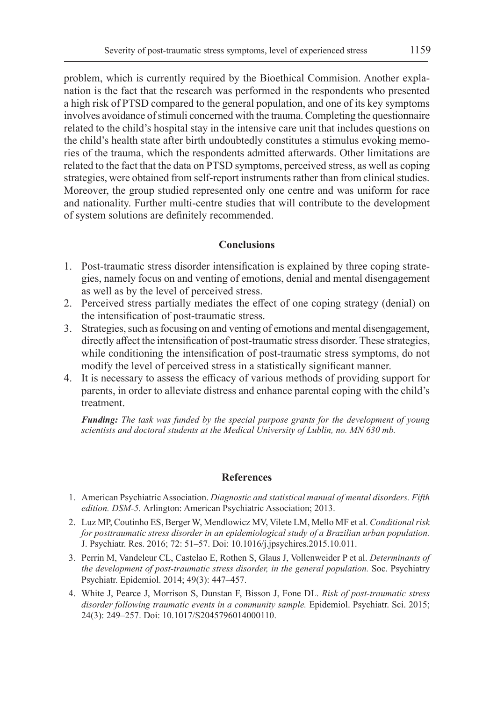problem, which is currently required by the Bioethical Commision. Another explanation is the fact that the research was performed in the respondents who presented a high risk of PTSD compared to the general population, and one of its key symptoms involves avoidance of stimuli concerned with the trauma. Completing the questionnaire related to the child's hospital stay in the intensive care unit that includes questions on the child's health state after birth undoubtedly constitutes a stimulus evoking memories of the trauma, which the respondents admitted afterwards. Other limitations are related to the fact that the data on PTSD symptoms, perceived stress, as well as coping strategies, were obtained from self-report instruments rather than from clinical studies. Moreover, the group studied represented only one centre and was uniform for race and nationality. Further multi-centre studies that will contribute to the development of system solutions are definitely recommended.

# **Conclusions**

- 1. Post-traumatic stress disorder intensification is explained by three coping strategies, namely focus on and venting of emotions, denial and mental disengagement as well as by the level of perceived stress.
- 2. Perceived stress partially mediates the effect of one coping strategy (denial) on the intensification of post-traumatic stress.
- 3. Strategies, such as focusing on and venting of emotions and mental disengagement, directly affect the intensification of post-traumatic stress disorder. These strategies, while conditioning the intensification of post-traumatic stress symptoms, do not modify the level of perceived stress in a statistically significant manner.
- 4. It is necessary to assess the efficacy of various methods of providing support for parents, in order to alleviate distress and enhance parental coping with the child's treatment.

*Funding: The task was funded by the special purpose grants for the development of young scientists and doctoral students at the Medical University of Lublin, no. MN 630 mb.*

# **References**

- 1. American Psychiatric Association. *Diagnostic and statistical manual of mental disorders. Fifth edition. DSM-5.* Arlington: American Psychiatric Association; 2013.
- 2. Luz MP, Coutinho ES, Berger W, Mendlowicz MV, Vilete LM, Mello MF et al. *Conditional risk for posttraumatic stress disorder in an epidemiological study of a Brazilian urban population.* J. Psychiatr. Res. 2016; 72: 51–57. Doi: 10.1016/j.jpsychires.2015.10.011.
- 3. Perrin M, Vandeleur CL, Castelao E, Rothen S, Glaus J, Vollenweider P et al. *Determinants of the development of post-traumatic stress disorder, in the general population.* Soc. Psychiatry Psychiatr. Epidemiol. 2014; 49(3): 447–457.
- 4. White J, Pearce J, Morrison S, Dunstan F, Bisson J, Fone DL. *Risk of post-traumatic stress disorder following traumatic events in a community sample.* Epidemiol. Psychiatr. Sci. 2015; 24(3): 249–257. Doi: 10.1017/S2045796014000110.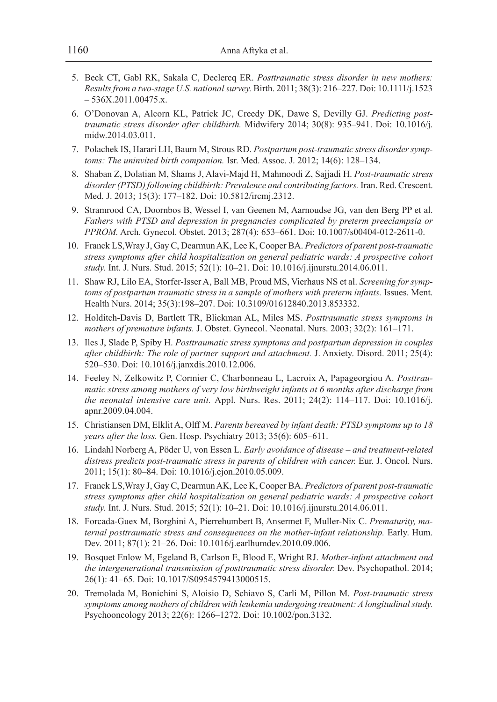- 5. Beck CT, Gabl RK, Sakala C, Declercq ER. *Posttraumatic stress disorder in new mothers: Results from a two-stage U.S. national survey.* Birth. 2011; 38(3): 216–227. Doi: 10.1111/j.1523 – 536X.2011.00475.x.
- 6. O'Donovan A, Alcorn KL, Patrick JC, Creedy DK, Dawe S, Devilly GJ. *Predicting posttraumatic stress disorder after childbirth.* Midwifery 2014; 30(8): 935–941. Doi: 10.1016/j. midw.2014.03.011.
- 7. Polachek IS, Harari LH, Baum M, Strous RD. *Postpartum post-traumatic stress disorder symptoms: The uninvited birth companion.* Isr. Med. Assoc. J. 2012; 14(6): 128–134.
- 8. Shaban Z, Dolatian M, Shams J, Alavi-Majd H, Mahmoodi Z, Sajjadi H. *Post-traumatic stress disorder (PTSD) following childbirth: Prevalence and contributing factors.* Iran. Red. Crescent. Med. J. 2013; 15(3): 177–182. Doi: 10.5812/ircmj.2312.
- 9. Stramrood CA, Doornbos B, Wessel I, van Geenen M, Aarnoudse JG, van den Berg PP et al. *Fathers with PTSD and depression in pregnancies complicated by preterm preeclampsia or PPROM.* Arch. Gynecol. Obstet. 2013; 287(4): 653–661. Doi: 10.1007/s00404-012-2611-0.
- 10. Franck LS,Wray J, Gay C, Dearmun AK, Lee K, Cooper BA. *Predictors of parent post-traumatic stress symptoms after child hospitalization on general pediatric wards: A prospective cohort study.* Int. J. Nurs. Stud. 2015; 52(1): 10–21. Doi: 10.1016/j.ijnurstu.2014.06.011.
- 11. Shaw RJ, Lilo EA, Storfer-Isser A, Ball MB, Proud MS, Vierhaus NS et al. *Screening for symptoms of postpartum traumatic stress in a sample of mothers with preterm infants.* Issues. Ment. Health Nurs. 2014; 35(3):198–207. Doi: 10.3109/01612840.2013.853332.
- 12. Holditch-Davis D, Bartlett TR, Blickman AL, Miles MS. *Posttraumatic stress symptoms in mothers of premature infants.* J. Obstet. Gynecol. Neonatal. Nurs. 2003; 32(2): 161–171.
- 13. Iles J, Slade P, Spiby H. *Posttraumatic stress symptoms and postpartum depression in couples after childbirth: The role of partner support and attachment.* J. Anxiety. Disord. 2011; 25(4): 520–530. Doi: 10.1016/j.janxdis.2010.12.006.
- 14. Feeley N, Zelkowitz P, Cormier C, Charbonneau L, Lacroix A, Papageorgiou A. *Posttraumatic stress among mothers of very low birthweight infants at 6 months after discharge from the neonatal intensive care unit.* Appl. Nurs. Res. 2011; 24(2): 114–117. Doi: 10.1016/j. apnr.2009.04.004.
- 15. Christiansen DM, Elklit A, Olff M. *Parents bereaved by infant death: PTSD symptoms up to 18 years after the loss.* Gen. Hosp. Psychiatry 2013; 35(6): 605–611.
- 16. Lindahl Norberg A, Pöder U, von Essen L. *Early avoidance of disease and treatment-related distress predicts post-traumatic stress in parents of children with cancer.* Eur. J. Oncol. Nurs. 2011; 15(1): 80–84. Doi: 10.1016/j.ejon.2010.05.009.
- 17. Franck LS,Wray J, Gay C, Dearmun AK, Lee K, Cooper BA. *Predictors of parent post-traumatic stress symptoms after child hospitalization on general pediatric wards: A prospective cohort study.* Int. J. Nurs. Stud. 2015; 52(1): 10–21. Doi: 10.1016/j.ijnurstu.2014.06.011.
- 18. Forcada-Guex M, Borghini A, Pierrehumbert B, Ansermet F, Muller-Nix C. *Prematurity, maternal posttraumatic stress and consequences on the mother-infant relationship.* Early. Hum. Dev. 2011; 87(1): 21–26. Doi: 10.1016/j.earlhumdev.2010.09.006.
- 19. Bosquet Enlow M, Egeland B, Carlson E, Blood E, Wright RJ. *Mother-infant attachment and the intergenerational transmission of posttraumatic stress disorder.* Dev. Psychopathol. 2014; 26(1): 41–65. Doi: 10.1017/S0954579413000515.
- 20. Tremolada M, Bonichini S, Aloisio D, Schiavo S, Carli M, Pillon M. *Post-traumatic stress symptoms among mothers of children with leukemia undergoing treatment: A longitudinal study.* Psychooncology 2013; 22(6): 1266–1272. Doi: 10.1002/pon.3132.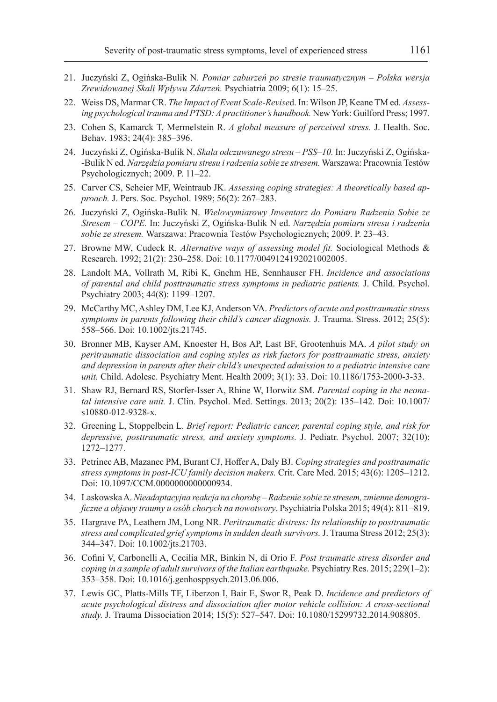- 21. Juczyński Z, Ogińska-Bulik N. *Pomiar zaburzeń po stresie traumatycznym Polska wersja Zrewidowanej Skali Wpływu Zdarzeń.* Psychiatria 2009; 6(1): 15–25.
- 22. Weiss DS, Marmar CR. *The Impact of Event Scale-Revise*d. In: Wilson JP, Keane TM ed. *Assessing psychological trauma and PTSD: A practitioner's handbook.* New York: Guilford Press; 1997.
- 23. Cohen S, Kamarck T, Mermelstein R. *A global measure of perceived stress.* J. Health. Soc. Behav. 1983; 24(4): 385–396.
- 24. Juczyński Z, Ogińska-Bulik N. *Skala odczuwanego stresu PSS–10.* In: Juczyński Z, Ogińska- -Bulik N ed. *Narzędzia pomiaru stresu i radzenia sobie ze stresem.* Warszawa: Pracownia Testów Psychologicznych; 2009. P. 11–22.
- 25. Carver CS, Scheier MF, Weintraub JK. *Assessing coping strategies: A theoretically based approach.* J. Pers. Soc. Psychol. 1989; 56(2): 267–283.
- 26. Juczyński Z, Ogińska-Bulik N. *Wielowymiarowy Inwentarz do Pomiaru Radzenia Sobie ze Stresem – COPE.* In: Juczyński Z, Ogińska-Bulik N ed. *Narzędzia pomiaru stresu i radzenia sobie ze stresem.* Warszawa: Pracownia Testów Psychologicznych; 2009. P. 23–43.
- 27. Browne MW, Cudeck R. *Alternative ways of assessing model fit.* Sociological Methods & Research. 1992; 21(2): 230–258. Doi: 10.1177/0049124192021002005.
- 28. Landolt MA, Vollrath M, Ribi K, Gnehm HE, Sennhauser FH. *Incidence and associations of parental and child posttraumatic stress symptoms in pediatric patients.* J. Child. Psychol. Psychiatry 2003; 44(8): 1199–1207.
- 29. McCarthy MC, Ashley DM, Lee KJ, Anderson VA. *Predictors of acute and posttraumatic stress symptoms in parents following their child's cancer diagnosis.* J. Trauma. Stress. 2012; 25(5): 558–566. Doi: 10.1002/jts.21745.
- 30. Bronner MB, Kayser AM, Knoester H, Bos AP, Last BF, Grootenhuis MA. *A pilot study on peritraumatic dissociation and coping styles as risk factors for posttraumatic stress, anxiety and depression in parents after their child's unexpected admission to a pediatric intensive care unit.* Child. Adolesc. Psychiatry Ment. Health 2009; 3(1): 33. Doi: 10.1186/1753-2000-3-33.
- 31. Shaw RJ, Bernard RS, Storfer-Isser A, Rhine W, Horwitz SM. *Parental coping in the neonatal intensive care unit.* J. Clin. Psychol. Med. Settings. 2013; 20(2): 135–142. Doi: 10.1007/ s10880-012-9328-x.
- 32. Greening L, Stoppelbein L. *Brief report: Pediatric cancer, parental coping style, and risk for depressive, posttraumatic stress, and anxiety symptoms.* J. Pediatr. Psychol. 2007; 32(10): 1272–1277.
- 33. Petrinec AB, Mazanec PM, Burant CJ, Hoffer A, Daly BJ. *Coping strategies and posttraumatic stress symptoms in post-ICU family decision makers.* Crit. Care Med. 2015; 43(6): 1205–1212. Doi: 10.1097/CCM.0000000000000934.
- 34. Laskowska A. *Nieadaptacyjna reakcja na chorobę Radzenie sobie ze stresem, zmienne demograficzne a objawy traumy u osób chorych na nowotwory*. Psychiatria Polska 2015; 49(4): 811–819.
- 35. Hargrave PA, Leathem JM, Long NR. *Peritraumatic distress: Its relationship to posttraumatic stress and complicated grief symptoms in sudden death survivors.* J. Trauma Stress 2012; 25(3): 344–347. Doi: 10.1002/jts.21703.
- 36. Cofini V, Carbonelli A, Cecilia MR, Binkin N, di Orio F. *Post traumatic stress disorder and coping in a sample of adult survivors of the Italian earthquake.* Psychiatry Res. 2015; 229(1–2): 353–358. Doi: 10.1016/j.genhosppsych.2013.06.006.
- 37. Lewis GC, Platts-Mills TF, Liberzon I, Bair E, Swor R, Peak D. *Incidence and predictors of acute psychological distress and dissociation after motor vehicle collision: A cross-sectional study.* J. Trauma Dissociation 2014; 15(5): 527–547. Doi: 10.1080/15299732.2014.908805.